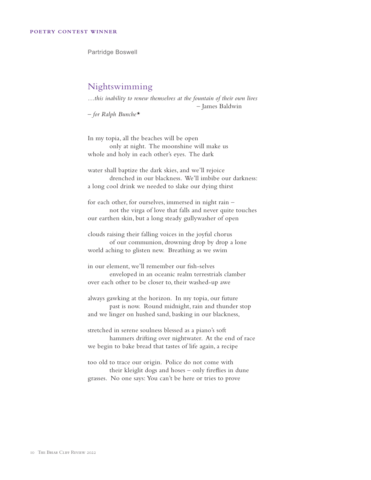Partridge Boswell

## Nightswimming

*…this inability to renew themselves at the fountain of their own lives*  – James Baldwin

*– for Ralph Bunche\**

In my topia, all the beaches will be open only at night. The moonshine will make us whole and holy in each other's eyes. The dark

water shall baptize the dark skies, and we'll rejoice drenched in our blackness. We'll imbibe our darkness: a long cool drink we needed to slake our dying thirst

for each other, for ourselves, immersed in night rain – not the virga of love that falls and never quite touches our earthen skin, but a long steady gullywasher of open

clouds raising their falling voices in the joyful chorus of our communion, drowning drop by drop a lone world aching to glisten new. Breathing as we swim

in our element, we'll remember our fish-selves enveloped in an oceanic realm terrestrials clamber over each other to be closer to, their washed-up awe

always gawking at the horizon. In my topia, our future past is now. Round midnight, rain and thunder stop and we linger on hushed sand, basking in our blackness,

stretched in serene soulness blessed as a piano's soft hammers drifting over nightwater. At the end of race we begin to bake bread that tastes of life again, a recipe

too old to trace our origin. Police do not come with their kleiglit dogs and hoses – only fireflies in dune grasses. No one says: You can't be here or tries to prove